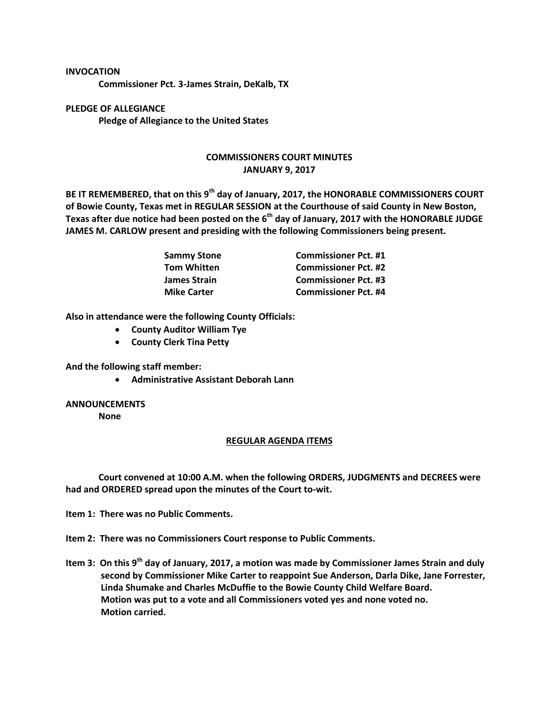## **INVOCATION**

**Commissioner Pct. 3-James Strain, DeKalb, TX**

**PLEDGE OF ALLEGIANCE Pledge of Allegiance to the United States**

## **COMMISSIONERS COURT MINUTES JANUARY 9, 2017**

**BE IT REMEMBERED, that on this 9th day of January, 2017, the HONORABLE COMMISSIONERS COURT of Bowie County, Texas met in REGULAR SESSION at the Courthouse of said County in New Boston, Texas after due notice had been posted on the 6th day of January, 2017 with the HONORABLE JUDGE JAMES M. CARLOW present and presiding with the following Commissioners being present.**

| Sammy Stone        | <b>Commissioner Pct. #1</b> |
|--------------------|-----------------------------|
| Tom Whitten        | <b>Commissioner Pct. #2</b> |
| James Strain       | <b>Commissioner Pct. #3</b> |
| <b>Mike Carter</b> | <b>Commissioner Pct. #4</b> |

**Also in attendance were the following County Officials:**

- **County Auditor William Tye**
- **County Clerk Tina Petty**

**And the following staff member:**

**Administrative Assistant Deborah Lann**

## **ANNOUNCEMENTS**

**None**

## **REGULAR AGENDA ITEMS**

**Court convened at 10:00 A.M. when the following ORDERS, JUDGMENTS and DECREES were had and ORDERED spread upon the minutes of the Court to-wit.**

**Item 1: There was no Public Comments.**

**Item 2: There was no Commissioners Court response to Public Comments.**

**Item 3: On this 9th day of January, 2017, a motion was made by Commissioner James Strain and duly second by Commissioner Mike Carter to reappoint Sue Anderson, Darla Dike, Jane Forrester, Linda Shumake and Charles McDuffie to the Bowie County Child Welfare Board. Motion was put to a vote and all Commissioners voted yes and none voted no. Motion carried.**